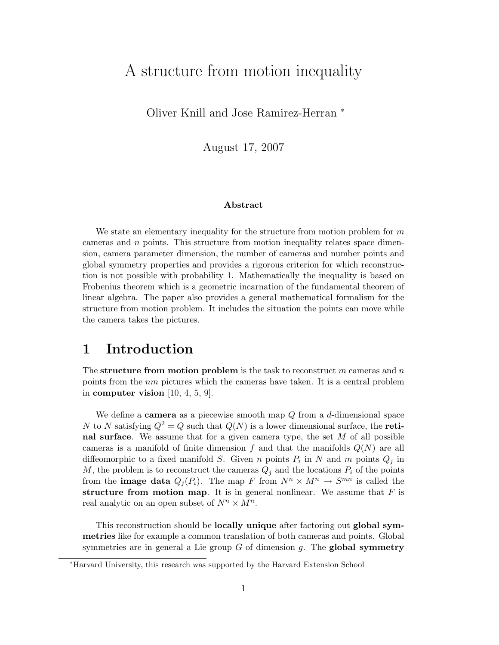# A structure from motion inequality

Oliver Knill and Jose Ramirez-Herran <sup>∗</sup>

August 17, 2007

#### Abstract

We state an elementary inequality for the structure from motion problem for  $m$ cameras and n points. This structure from motion inequality relates space dimension, camera parameter dimension, the number of cameras and number points and global symmetry properties and provides a rigorous criterion for which reconstruction is not possible with probability 1. Mathematically the inequality is based on Frobenius theorem which is a geometric incarnation of the fundamental theorem of linear algebra. The paper also provides a general mathematical formalism for the structure from motion problem. It includes the situation the points can move while the camera takes the pictures.

### 1 Introduction

The structure from motion problem is the task to reconstruct  $m$  cameras and  $n$ points from the  $nm$  pictures which the cameras have taken. It is a central problem in computer vision  $[10, 4, 5, 9]$ .

We define a **camera** as a piecewise smooth map  $Q$  from a  $d$ -dimensional space N to N satisfying  $Q^2 = Q$  such that  $Q(N)$  is a lower dimensional surface, the **reti**nal surface. We assume that for a given camera type, the set  $M$  of all possible cameras is a manifold of finite dimension f and that the manifolds  $Q(N)$  are all diffeomorphic to a fixed manifold S. Given n points  $P_i$  in N and m points  $Q_j$  in  $M$ , the problem is to reconstruct the cameras  $Q_j$  and the locations  $P_i$  of the points from the **image data**  $Q_j(P_i)$ . The map F from  $N^n \times M^n \to S^{mn}$  is called the structure from motion map. It is in general nonlinear. We assume that  $F$  is real analytic on an open subset of  $N^n \times M^n$ .

This reconstruction should be locally unique after factoring out global symmetries like for example a common translation of both cameras and points. Global symmetries are in general a Lie group  $G$  of dimension q. The **global symmetry** 

<sup>∗</sup>Harvard University, this research was supported by the Harvard Extension School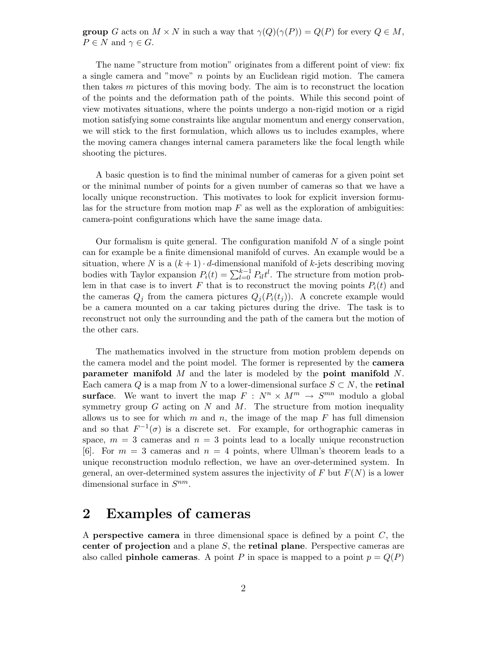**group** G acts on  $M \times N$  in such a way that  $\gamma(Q)(\gamma(P)) = Q(P)$  for every  $Q \in M$ ,  $P \in N$  and  $\gamma \in G$ .

The name "structure from motion" originates from a different point of view: fix a single camera and "move" n points by an Euclidean rigid motion. The camera then takes m pictures of this moving body. The aim is to reconstruct the location of the points and the deformation path of the points. While this second point of view motivates situations, where the points undergo a non-rigid motion or a rigid motion satisfying some constraints like angular momentum and energy conservation, we will stick to the first formulation, which allows us to includes examples, where the moving camera changes internal camera parameters like the focal length while shooting the pictures.

A basic question is to find the minimal number of cameras for a given point set or the minimal number of points for a given number of cameras so that we have a locally unique reconstruction. This motivates to look for explicit inversion formulas for the structure from motion map  $F$  as well as the exploration of ambiguities: camera-point configurations which have the same image data.

Our formalism is quite general. The configuration manifold  $N$  of a single point can for example be a finite dimensional manifold of curves. An example would be a situation, where N is a  $(k+1) \cdot d$ -dimensional manifold of k-jets describing moving bodies with Taylor expansion  $P_i(t) = \sum_{l=0}^{k-1} P_{il} t^l$ . The structure from motion problem in that case is to invert F that is to reconstruct the moving points  $P_i(t)$  and the cameras  $Q_i$  from the camera pictures  $Q_i(P_i(t_i))$ . A concrete example would be a camera mounted on a car taking pictures during the drive. The task is to reconstruct not only the surrounding and the path of the camera but the motion of the other cars.

The mathematics involved in the structure from motion problem depends on the camera model and the point model. The former is represented by the **camera parameter manifold** M and the later is modeled by the **point manifold** N. Each camera Q is a map from N to a lower-dimensional surface  $S \subset N$ , the **retinal** surface. We want to invert the map  $F : N^n \times M^m \to S^{mn}$  modulo a global symmetry group  $G$  acting on  $N$  and  $M$ . The structure from motion inequality allows us to see for which m and n, the image of the map  $F$  has full dimension and so that  $F^{-1}(\sigma)$  is a discrete set. For example, for orthographic cameras in space,  $m = 3$  cameras and  $n = 3$  points lead to a locally unique reconstruction [6]. For  $m = 3$  cameras and  $n = 4$  points, where Ullman's theorem leads to a unique reconstruction modulo reflection, we have an over-determined system. In general, an over-determined system assures the injectivity of F but  $F(N)$  is a lower dimensional surface in  $S^{nm}$ .

## 2 Examples of cameras

A **perspective camera** in three dimensional space is defined by a point  $C$ , the center of projection and a plane S, the retinal plane. Perspective cameras are also called **pinhole cameras**. A point P in space is mapped to a point  $p = Q(P)$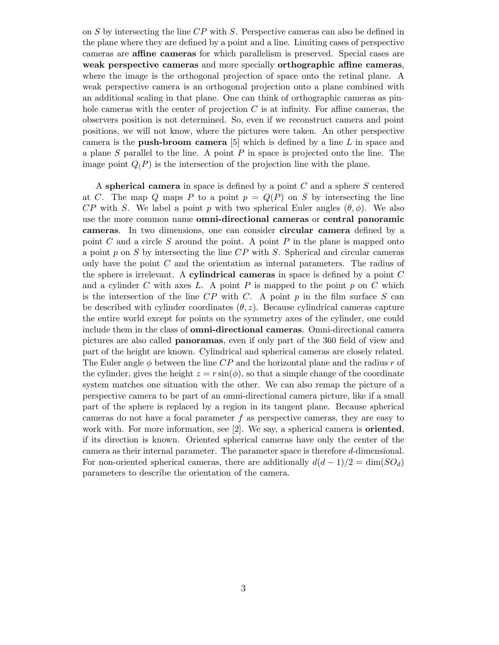on S by intersecting the line CP with S. Perspective cameras can also be defined in the plane where they are defined by a point and a line. Limiting cases of perspective cameras are affine cameras for which parallelism is preserved. Special cases are weak perspective cameras and more specially orthographic affine cameras, where the image is the orthogonal projection of space onto the retinal plane. A weak perspective camera is an orthogonal projection onto a plane combined with an additional scaling in that plane. One can think of orthographic cameras as pinhole cameras with the center of projection  $C$  is at infinity. For affine cameras, the observers position is not determined. So, even if we reconstruct camera and point positions, we will not know, where the pictures were taken. An other perspective camera is the **push-broom camera** [5] which is defined by a line L in space and a plane  $S$  parallel to the line. A point  $P$  in space is projected onto the line. The image point  $Q(P)$  is the intersection of the projection line with the plane.

A spherical camera in space is defined by a point C and a sphere S centered at C. The map Q maps P to a point  $p = Q(P)$  on S by intersecting the line  $CP$  with S. We label a point p with two spherical Euler angles  $(\theta, \phi)$ . We also use the more common name omni-directional cameras or central panoramic cameras. In two dimensions, one can consider circular camera defined by a point  $C$  and a circle  $S$  around the point. A point  $P$  in the plane is mapped onto a point p on S by intersecting the line  $\overline{CP}$  with S. Spherical and circular cameras only have the point  $C$  and the orientation as internal parameters. The radius of the sphere is irrelevant. A **cylindrical cameras** in space is defined by a point  $C$ and a cylinder C with axes L. A point P is mapped to the point  $p$  on C which is the intersection of the line  $CP$  with  $C$ . A point  $p$  in the film surface  $S$  can be described with cylinder coordinates  $(\theta, z)$ . Because cylindrical cameras capture the entire world except for points on the symmetry axes of the cylinder, one could include them in the class of omni-directional cameras. Omni-directional camera pictures are also called panoramas, even if only part of the 360 field of view and part of the height are known. Cylindrical and spherical cameras are closely related. The Euler angle  $\phi$  between the line CP and the horizontal plane and the radius r of the cylinder, gives the height  $z = r \sin(\phi)$ , so that a simple change of the coordinate system matches one situation with the other. We can also remap the picture of a perspective camera to be part of an omni-directional camera picture, like if a small part of the sphere is replaced by a region in its tangent plane. Because spherical cameras do not have a focal parameter  $f$  as perspective cameras, they are easy to work with. For more information, see  $[2]$ . We say, a spherical camera is **oriented**, if its direction is known. Oriented spherical cameras have only the center of the camera as their internal parameter. The parameter space is therefore d-dimensional. For non-oriented spherical cameras, there are additionally  $d(d-1)/2 = \dim(SO_d)$ parameters to describe the orientation of the camera.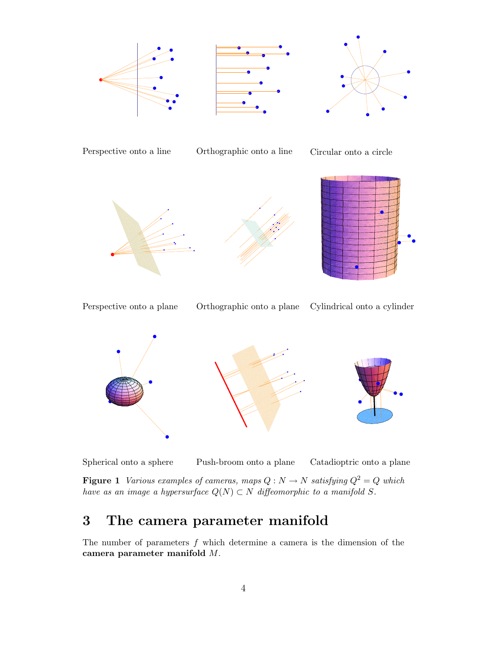





Perspective onto a line Orthographic onto a line Circular onto a circle





Perspective onto a plane Orthographic onto a plane Cylindrical onto a cylinder



Spherical onto a sphere Push-broom onto a plane Catadioptric onto a plane

Figure 1 Various examples of cameras, maps  $Q: N \to N$  satisfying  $Q^2 = Q$  which have as an image a hypersurface  $Q(N) \subset N$  diffeomorphic to a manifold S.

# 3 The camera parameter manifold

The number of parameters  $f$  which determine a camera is the dimension of the camera parameter manifold M.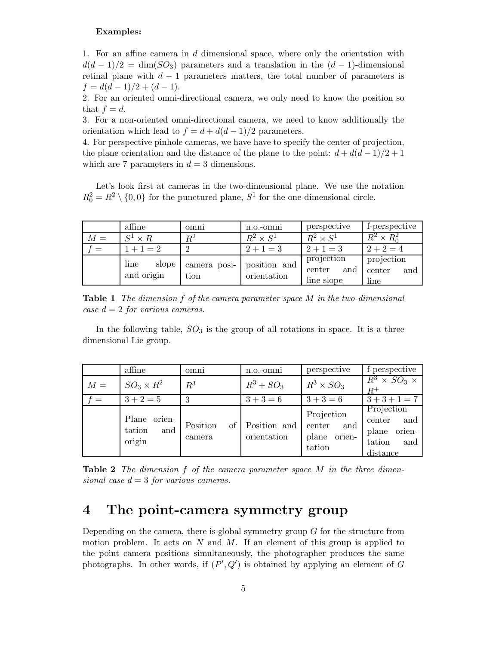#### Examples:

1. For an affine camera in d dimensional space, where only the orientation with  $d(d-1)/2 = \dim(SO_3)$  parameters and a translation in the  $(d-1)$ -dimensional retinal plane with  $d-1$  parameters matters, the total number of parameters is  $f = d(d-1)/2 + (d-1).$ 

2. For an oriented omni-directional camera, we only need to know the position so that  $f = d$ .

3. For a non-oriented omni-directional camera, we need to know additionally the orientation which lead to  $f = d + d(d - 1)/2$  parameters.

4. For perspective pinhole cameras, we have have to specify the center of projection, the plane orientation and the distance of the plane to the point:  $d + d(d - 1)/2 + 1$ which are 7 parameters in  $d = 3$  dimensions.

Let's look first at cameras in the two-dimensional plane. We use the notation  $R_0^2 = R^2 \setminus \{0,0\}$  for the punctured plane,  $S^1$  for the one-dimensional circle.

|       | affine                      | omni                 | n.o.-omni                   | perspective                                        | f-perspective                       |  |
|-------|-----------------------------|----------------------|-----------------------------|----------------------------------------------------|-------------------------------------|--|
| $M =$ | $S^1 \times R$              | $\,R^2$              | $R^2 \times S^1$            | $R^2 \times S^1$                                   | $R^2 \times R_0^2$                  |  |
| $=$   | $1+1=2$                     | $2+1=3$              |                             | $2+1=3$                                            | $2 + 2 = 4$                         |  |
|       | line<br>slope<br>and origin | camera posi-<br>tion | position and<br>orientation | projection<br>$\mbox{center}$<br>and<br>line slope | projection<br>center<br>and<br>line |  |

Table 1 The dimension f of the camera parameter space M in the two-dimensional case  $d = 2$  for various cameras.

In the following table,  $SO_3$  is the group of all rotations in space. It is a three dimensional Lie group.

|             | affine                                     | omni               | n.o.-omni                      | perspective                                              | f-perspective                                                               |
|-------------|--------------------------------------------|--------------------|--------------------------------|----------------------------------------------------------|-----------------------------------------------------------------------------|
| $M =$       | $SO_3 \times R^2$                          | $\mathbb{R}^3$     | $R^3 + SO_3$                   | $R^3 \times SO_3$                                        | $R^3 \times SO_3 \times$<br>$R^+$                                           |
| <u>. = </u> | $3 + 2 = 5$                                | 3                  | $3+3=6$                        | $3+3=6$                                                  | $3+3+1=7$                                                                   |
|             | Plane<br>orien-<br>and<br>tation<br>origin | Position<br>camera | of Position and<br>orientation | Projection<br>center<br>and<br>orien-<br>plane<br>tation | Projection<br>and<br>center<br>orien-<br>plane<br>tation<br>and<br>distance |

Table 2 The dimension f of the camera parameter space M in the three dimensional case  $d = 3$  for various cameras.

### 4 The point-camera symmetry group

Depending on the camera, there is global symmetry group G for the structure from motion problem. It acts on  $N$  and  $M$ . If an element of this group is applied to the point camera positions simultaneously, the photographer produces the same photographs. In other words, if  $(P', Q')$  is obtained by applying an element of G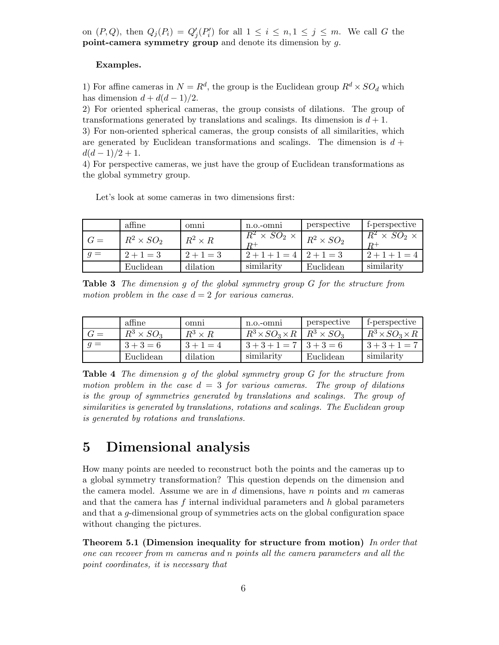on  $(P,Q)$ , then  $Q_j(P_i) = Q'_j(P'_i)$  $j'_{i}$ ) for all  $1 \leq i \leq n, 1 \leq j \leq m$ . We call G the point-camera symmetry group and denote its dimension by g.

#### Examples.

1) For affine cameras in  $N = R<sup>d</sup>$ , the group is the Euclidean group  $R<sup>d</sup> \times SO<sub>d</sub>$  which has dimension  $d + d(d - 1)/2$ .

2) For oriented spherical cameras, the group consists of dilations. The group of transformations generated by translations and scalings. Its dimension is  $d+1$ .

3) For non-oriented spherical cameras, the group consists of all similarities, which are generated by Euclidean transformations and scalings. The dimension is  $d +$  $d(d-1)/2+1$ .

4) For perspective cameras, we just have the group of Euclidean transformations as the global symmetry group.

Let's look at some cameras in two dimensions first:

|       | affine            | omni           | $n.o.-omni$                           | perspective       | f-perspective                                   |
|-------|-------------------|----------------|---------------------------------------|-------------------|-------------------------------------------------|
| $G =$ | $R^2 \times SO_2$ | $R^2 \times R$ | $\overline{R}{}^2 \times SO_2 \times$ | $R^2 \times SO_2$ | $\overline{R}^2 \times SO_2 \times$<br>$_{R^+}$ |
| $q =$ | $2+1=3$           | $2+1=3$        | $2+1+1=4$   $2+1=3$                   |                   | $2+1+1=4$                                       |
|       | Euclidean         | dilation       | similarity                            | Euclidean         | similarity                                      |

Table 3 The dimension g of the global symmetry group G for the structure from motion problem in the case  $d = 2$  for various cameras.

|       | affine            | omni           | n.o.-omni                  | perspective       | f-perspective              |
|-------|-------------------|----------------|----------------------------|-------------------|----------------------------|
| $G =$ | $R^3 \times SO_3$ | $R^3 \times R$ | $R^3 \times SO_3 \times R$ | $R^3 \times SO_3$ | $R^3 \times SO_3 \times R$ |
| $q =$ | $3+3=6$           | $3+1=4$        | $3+3+1=7$                  | $3 + 3 = 6$       | $3+3+1=7$                  |
|       | Euclidean         | dilation       | similarity                 | Euclidean         | similarity                 |

Table 4 The dimension g of the global symmetry group G for the structure from motion problem in the case  $d = 3$  for various cameras. The group of dilations is the group of symmetries generated by translations and scalings. The group of similarities is generated by translations, rotations and scalings. The Euclidean group is generated by rotations and translations.

### 5 Dimensional analysis

How many points are needed to reconstruct both the points and the cameras up to a global symmetry transformation? This question depends on the dimension and the camera model. Assume we are in  $d$  dimensions, have n points and  $m$  cameras and that the camera has f internal individual parameters and  $h$  global parameters and that a g-dimensional group of symmetries acts on the global configuration space without changing the pictures.

Theorem 5.1 (Dimension inequality for structure from motion) In order that one can recover from m cameras and n points all the camera parameters and all the point coordinates, it is necessary that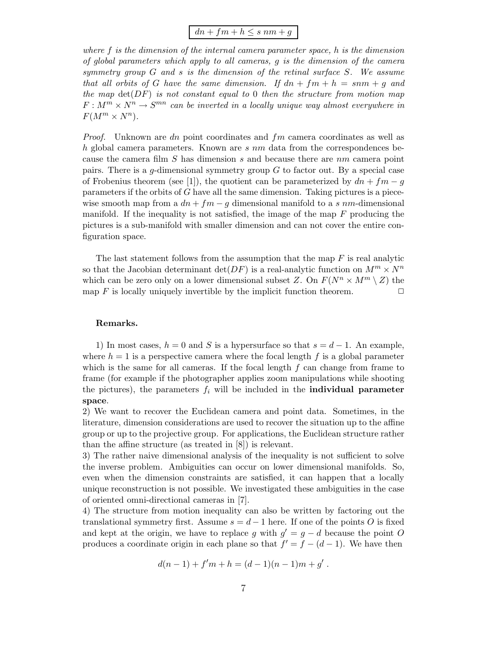$$
dn + fm + h \leq s \ nm + g
$$

where f is the dimension of the internal camera parameter space, h is the dimension of global parameters which apply to all cameras, g is the dimension of the camera symmetry group G and s is the dimension of the retinal surface S. We assume that all orbits of G have the same dimension. If  $dn + fm + h = smm + g$  and the map  $\det(DF)$  is not constant equal to 0 then the structure from motion map  $F: M^m \times N^n \to S^{mn}$  can be inverted in a locally unique way almost everywhere in  $F(M^m \times N^n)$ .

*Proof.* Unknown are dn point coordinates and  $fm$  camera coordinates as well as h global camera parameters. Known are  $s$  nm data from the correspondences because the camera film S has dimension s and because there are nm camera point pairs. There is a  $q$ -dimensional symmetry group  $G$  to factor out. By a special case of Frobenius theorem (see [1]), the quotient can be parameterized by  $dn + fm - q$ parameters if the orbits of  $G$  have all the same dimension. Taking pictures is a piecewise smooth map from a  $dn + fm - q$  dimensional manifold to a s nm-dimensional manifold. If the inequality is not satisfied, the image of the map  $F$  producing the pictures is a sub-manifold with smaller dimension and can not cover the entire configuration space.

The last statement follows from the assumption that the map  $F$  is real analytic so that the Jacobian determinant  $\det(DF)$  is a real-analytic function on  $M^m \times N^n$ which can be zero only on a lower dimensional subset Z. On  $F(N^n \times M^m \setminus Z)$  the map F is locally uniquely invertible by the implicit function theorem.  $\Box$ 

#### Remarks.

1) In most cases,  $h = 0$  and S is a hypersurface so that  $s = d - 1$ . An example, where  $h = 1$  is a perspective camera where the focal length f is a global parameter which is the same for all cameras. If the focal length  $f$  can change from frame to frame (for example if the photographer applies zoom manipulations while shooting the pictures), the parameters  $f_i$  will be included in the **individual parameter** space.

2) We want to recover the Euclidean camera and point data. Sometimes, in the literature, dimension considerations are used to recover the situation up to the affine group or up to the projective group. For applications, the Euclidean structure rather than the affine structure (as treated in [8]) is relevant.

3) The rather naive dimensional analysis of the inequality is not sufficient to solve the inverse problem. Ambiguities can occur on lower dimensional manifolds. So, even when the dimension constraints are satisfied, it can happen that a locally unique reconstruction is not possible. We investigated these ambiguities in the case of oriented omni-directional cameras in [7].

4) The structure from motion inequality can also be written by factoring out the translational symmetry first. Assume  $s = d - 1$  here. If one of the points O is fixed and kept at the origin, we have to replace g with  $g' = g - d$  because the point O produces a coordinate origin in each plane so that  $f' = f - (d - 1)$ . We have then

$$
d(n-1) + f'm + h = (d-1)(n-1)m + g'.
$$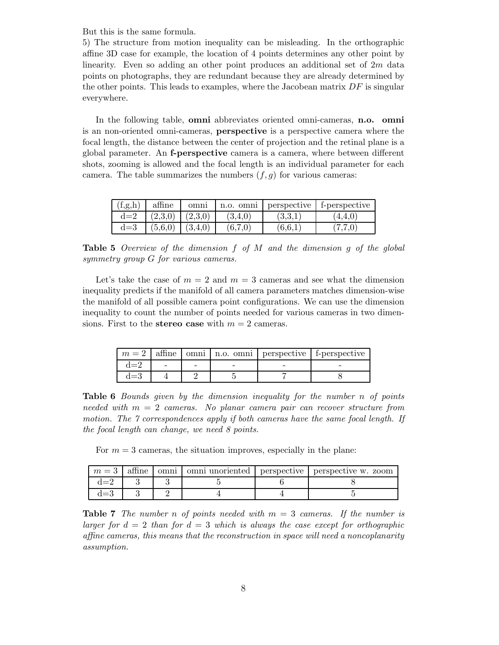But this is the same formula.

5) The structure from motion inequality can be misleading. In the orthographic affine 3D case for example, the location of 4 points determines any other point by linearity. Even so adding an other point produces an additional set of 2m data points on photographs, they are redundant because they are already determined by the other points. This leads to examples, where the Jacobean matrix  $DF$  is singular everywhere.

In the following table, omni abbreviates oriented omni-cameras, n.o. omni is an non-oriented omni-cameras, perspective is a perspective camera where the focal length, the distance between the center of projection and the retinal plane is a global parameter. An f-perspective camera is a camera, where between different shots, zooming is allowed and the focal length is an individual parameter for each camera. The table summarizes the numbers  $(f, g)$  for various cameras:

| (f,g,h) | affine  | omni    | n.o. omni | perspective | f-perspective |
|---------|---------|---------|-----------|-------------|---------------|
| $d=2$   | (2,3,0) | (2,3,0) | (3,4,0)   | (3,3,1)     | 4,4,0         |
| $d=3$   | (5,6,0) | (3,4,0) | (6,7,0)   | (6.6,1)     | (7,7,0)       |

**Table 5** Overview of the dimension  $f$  of  $M$  and the dimension  $g$  of the global symmetry group G for various cameras.

Let's take the case of  $m = 2$  and  $m = 3$  cameras and see what the dimension inequality predicts if the manifold of all camera parameters matches dimension-wise the manifold of all possible camera point configurations. We can use the dimension inequality to count the number of points needed for various cameras in two dimensions. First to the **stereo case** with  $m = 2$  cameras.

|         |  |  | $m = 2$   affine   omni   n.o. omni   perspective   f-perspective |
|---------|--|--|-------------------------------------------------------------------|
| $d=2$   |  |  |                                                                   |
| $d{=}3$ |  |  |                                                                   |

Table 6 Bounds given by the dimension inequality for the number n of points needed with  $m = 2$  cameras. No planar camera pair can recover structure from motion. The 7 correspondences apply if both cameras have the same focal length. If the focal length can change, we need 8 points.

For  $m = 3$  cameras, the situation improves, especially in the plane:

|  |  |  | $m=3$ affine omni omni unoriented perspective perspective w. zoom |
|--|--|--|-------------------------------------------------------------------|
|  |  |  |                                                                   |
|  |  |  |                                                                   |

**Table 7** The number n of points needed with  $m = 3$  cameras. If the number is larger for  $d = 2$  than for  $d = 3$  which is always the case except for orthographic affine cameras, this means that the reconstruction in space will need a noncoplanarity assumption.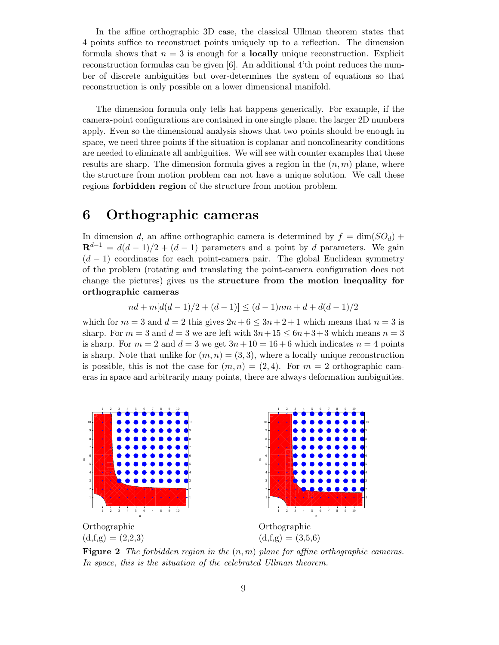In the affine orthographic 3D case, the classical Ullman theorem states that 4 points suffice to reconstruct points uniquely up to a reflection. The dimension formula shows that  $n = 3$  is enough for a **locally** unique reconstruction. Explicit reconstruction formulas can be given [6]. An additional 4'th point reduces the number of discrete ambiguities but over-determines the system of equations so that reconstruction is only possible on a lower dimensional manifold.

The dimension formula only tells hat happens generically. For example, if the camera-point configurations are contained in one single plane, the larger 2D numbers apply. Even so the dimensional analysis shows that two points should be enough in space, we need three points if the situation is coplanar and noncolinearity conditions are needed to eliminate all ambiguities. We will see with counter examples that these results are sharp. The dimension formula gives a region in the  $(n, m)$  plane, where the structure from motion problem can not have a unique solution. We call these regions forbidden region of the structure from motion problem.

## 6 Orthographic cameras

In dimension d, an affine orthographic camera is determined by  $f = \dim(SO_d)$  +  $\mathbf{R}^{d-1} = d(d-1)/2 + (d-1)$  parameters and a point by d parameters. We gain  $(d-1)$  coordinates for each point-camera pair. The global Euclidean symmetry of the problem (rotating and translating the point-camera configuration does not change the pictures) gives us the structure from the motion inequality for orthographic cameras

 $nd + m[d(d-1)/2 + (d-1)] < (d-1)nm + d + d(d-1)/2$ 

which for  $m = 3$  and  $d = 2$  this gives  $2n + 6 \leq 3n + 2 + 1$  which means that  $n = 3$  is sharp. For  $m = 3$  and  $d = 3$  we are left with  $3n+15 \leq 6n+3+3$  which means  $n = 3$ is sharp. For  $m = 2$  and  $d = 3$  we get  $3n + 10 = 16 + 6$  which indicates  $n = 4$  points is sharp. Note that unlike for  $(m, n) = (3, 3)$ , where a locally unique reconstruction is possible, this is not the case for  $(m, n) = (2, 4)$ . For  $m = 2$  orthographic cameras in space and arbitrarily many points, there are always deformation ambiguities.



**Figure 2** The forbidden region in the  $(n, m)$  plane for affine orthographic cameras. In space, this is the situation of the celebrated Ullman theorem.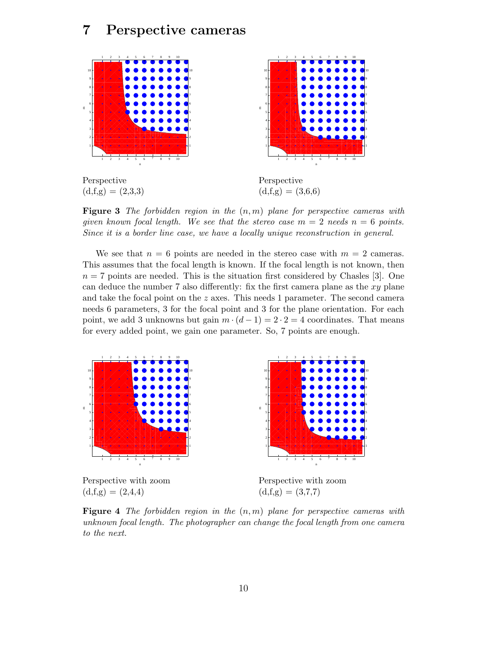## 7 Perspective cameras



**Figure 3** The forbidden region in the  $(n, m)$  plane for perspective cameras with given known focal length. We see that the stereo case  $m = 2$  needs  $n = 6$  points. Since it is a border line case, we have a locally unique reconstruction in general.

We see that  $n = 6$  points are needed in the stereo case with  $m = 2$  cameras. This assumes that the focal length is known. If the focal length is not known, then  $n = 7$  points are needed. This is the situation first considered by Chasles [3]. One can deduce the number 7 also differently: fix the first camera plane as the  $xy$  plane and take the focal point on the  $z$  axes. This needs 1 parameter. The second camera needs 6 parameters, 3 for the focal point and 3 for the plane orientation. For each point, we add 3 unknowns but gain  $m \cdot (d-1) = 2 \cdot 2 = 4$  coordinates. That means for every added point, we gain one parameter. So, 7 points are enough.



 $(d,f,g) = (2,4,4)$ 

Perspective with zoom  $(d, f, g) = (3, 7, 7)$ 

**Figure 4** The forbidden region in the  $(n, m)$  plane for perspective cameras with unknown focal length. The photographer can change the focal length from one camera to the next.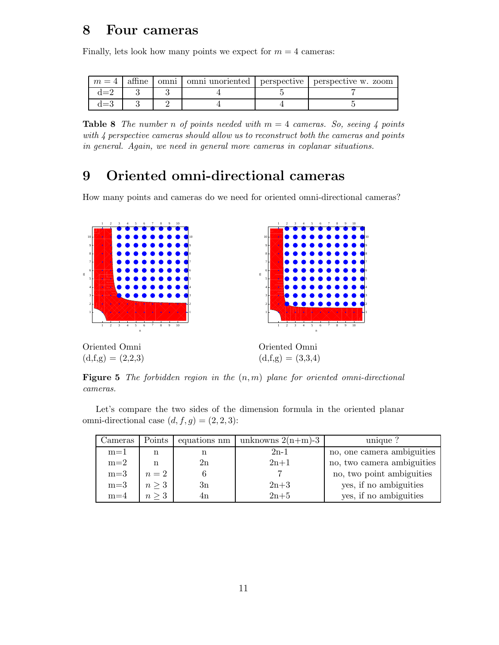# 8 Four cameras

Finally, lets look how many points we expect for  $m = 4$  cameras:

| $m=4$ | atnne | omni |  | omni unoriented   perspective   perspective w. zoom |
|-------|-------|------|--|-----------------------------------------------------|
|       |       |      |  |                                                     |
|       |       |      |  |                                                     |

**Table 8** The number n of points needed with  $m = 4$  cameras. So, seeing 4 points with 4 perspective cameras should allow us to reconstruct both the cameras and points in general. Again, we need in general more cameras in coplanar situations.

# 9 Oriented omni-directional cameras

How many points and cameras do we need for oriented omni-directional cameras?



**Figure 5** The forbidden region in the  $(n, m)$  plane for oriented omni-directional cameras.

Let's compare the two sides of the dimension formula in the oriented planar omni-directional case  $(d, f, g) = (2, 2, 3)$ :

| Jameras | Points     | equations nm | unknowns $2(n+m)-3$ | unique ?                   |
|---------|------------|--------------|---------------------|----------------------------|
| $m=1$   | n          |              | $2n-1$              | no, one camera ambiguities |
| $m=2$   | n          | 2n           | $2n+1$              | no, two camera ambiguities |
| $m=3$   | $n=2$      |              |                     | no, two point ambiguities  |
| $m=3$   | $n \geq 3$ | 3n           | $2n+3$              | yes, if no ambiguities     |
| $m=4$   | $n \geq 3$ | 4n           | $2n+5$              | yes, if no ambiguities     |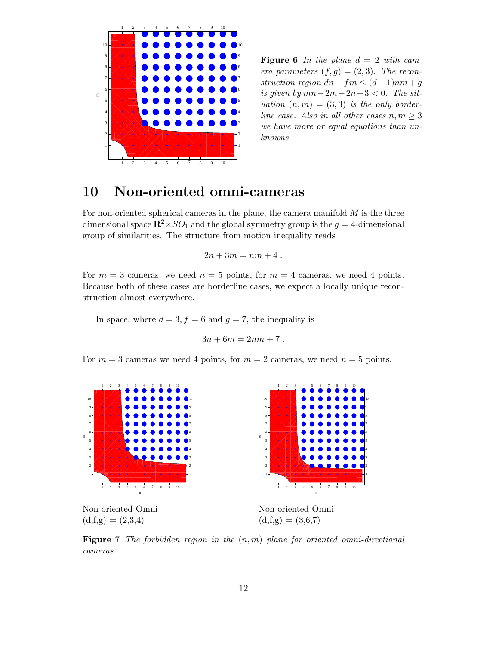

**Figure 6** In the plane  $d = 2$  with camera parameters  $(f, g) = (2, 3)$ . The reconstruction region  $dn + fm \leq (d-1)nm + g$ is given by  $mn-2m-2n+3 < 0$ . The situation  $(n, m) = (3, 3)$  is the only borderline case. Also in all other cases  $n, m \geq 3$ we have more or equal equations than unknowns.

# 10 Non-oriented omni-cameras

For non-oriented spherical cameras in the plane, the camera manifold  $M$  is the three dimensional space  $\mathbb{R}^2 \times SO_1$  and the global symmetry group is the  $g = 4$ -dimensional group of similarities. The structure from motion inequality reads

$$
2n + 3m = nm + 4.
$$

For  $m = 3$  cameras, we need  $n = 5$  points, for  $m = 4$  cameras, we need 4 points. Because both of these cases are borderline cases, we expect a locally unique reconstruction almost everywhere.

In space, where  $d = 3, f = 6$  and  $g = 7$ , the inequality is

$$
3n + 6m = 2nm + 7.
$$

For  $m = 3$  cameras we need 4 points, for  $m = 2$  cameras, we need  $n = 5$  points.



**Figure 7** The forbidden region in the  $(n, m)$  plane for oriented omni-directional cameras.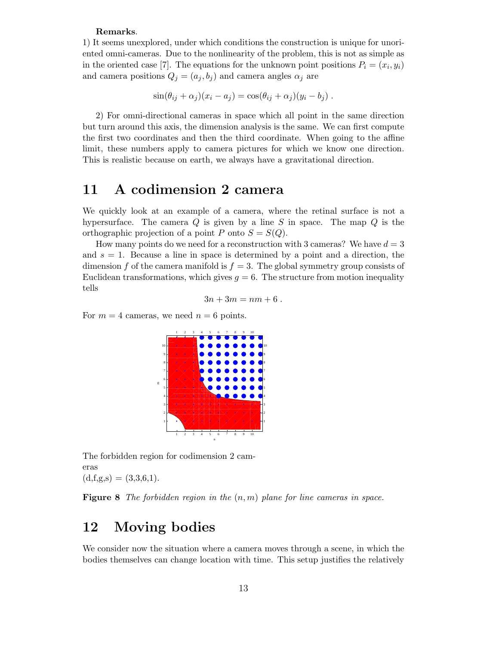#### Remarks.

1) It seems unexplored, under which conditions the construction is unique for unoriented omni-cameras. Due to the nonlinearity of the problem, this is not as simple as in the oriented case [7]. The equations for the unknown point positions  $P_i = (x_i, y_i)$ and camera positions  $Q_j = (a_j, b_j)$  and camera angles  $\alpha_j$  are

$$
\sin(\theta_{ij} + \alpha_j)(x_i - a_j) = \cos(\theta_{ij} + \alpha_j)(y_i - b_j).
$$

2) For omni-directional cameras in space which all point in the same direction but turn around this axis, the dimension analysis is the same. We can first compute the first two coordinates and then the third coordinate. When going to the affine limit, these numbers apply to camera pictures for which we know one direction. This is realistic because on earth, we always have a gravitational direction.

#### 11 A codimension 2 camera

We quickly look at an example of a camera, where the retinal surface is not a hypersurface. The camera  $Q$  is given by a line  $S$  in space. The map  $Q$  is the orthographic projection of a point P onto  $S = S(Q)$ .

How many points do we need for a reconstruction with 3 cameras? We have  $d = 3$ and  $s = 1$ . Because a line in space is determined by a point and a direction, the dimension f of the camera manifold is  $f = 3$ . The global symmetry group consists of Euclidean transformations, which gives  $q = 6$ . The structure from motion inequality tells

$$
3n + 3m = nm + 6.
$$

For  $m = 4$  cameras, we need  $n = 6$  points.



The forbidden region for codimension 2 cameras  $(d, f, g, s) = (3, 3, 6, 1).$ 

**Figure 8** The forbidden region in the  $(n, m)$  plane for line cameras in space.

## 12 Moving bodies

We consider now the situation where a camera moves through a scene, in which the bodies themselves can change location with time. This setup justifies the relatively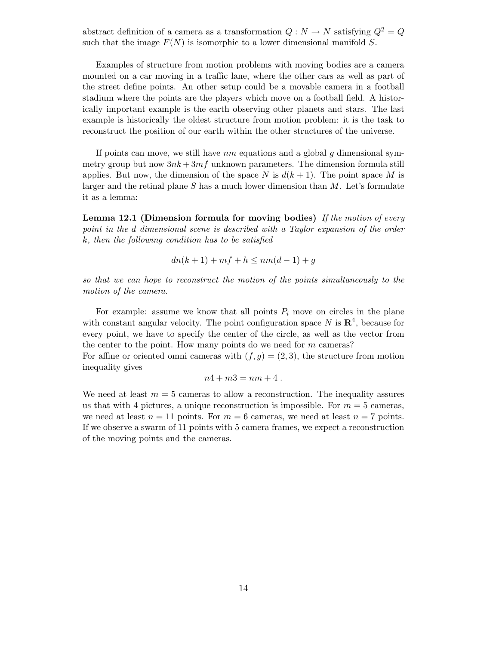abstract definition of a camera as a transformation  $Q: N \to N$  satisfying  $Q^2 = Q$ such that the image  $F(N)$  is isomorphic to a lower dimensional manifold S.

Examples of structure from motion problems with moving bodies are a camera mounted on a car moving in a traffic lane, where the other cars as well as part of the street define points. An other setup could be a movable camera in a football stadium where the points are the players which move on a football field. A historically important example is the earth observing other planets and stars. The last example is historically the oldest structure from motion problem: it is the task to reconstruct the position of our earth within the other structures of the universe.

If points can move, we still have  $nm$  equations and a global q dimensional symmetry group but now  $3nk + 3mf$  unknown parameters. The dimension formula still applies. But now, the dimension of the space N is  $d(k+1)$ . The point space M is larger and the retinal plane  $S$  has a much lower dimension than  $M$ . Let's formulate it as a lemma:

Lemma 12.1 (Dimension formula for moving bodies) If the motion of every point in the d dimensional scene is described with a Taylor expansion of the order k, then the following condition has to be satisfied

$$
dn(k+1) + mf + h \le nm(d-1) + g
$$

so that we can hope to reconstruct the motion of the points simultaneously to the motion of the camera.

For example: assume we know that all points  $P_i$  move on circles in the plane with constant angular velocity. The point configuration space N is  $\mathbb{R}^4$ , because for every point, we have to specify the center of the circle, as well as the vector from the center to the point. How many points do we need for  $m$  cameras?

For affine or oriented omni cameras with  $(f, g) = (2, 3)$ , the structure from motion inequality gives

$$
n4+m3=nm+4.
$$

We need at least  $m = 5$  cameras to allow a reconstruction. The inequality assures us that with 4 pictures, a unique reconstruction is impossible. For  $m = 5$  cameras, we need at least  $n = 11$  points. For  $m = 6$  cameras, we need at least  $n = 7$  points. If we observe a swarm of 11 points with 5 camera frames, we expect a reconstruction of the moving points and the cameras.